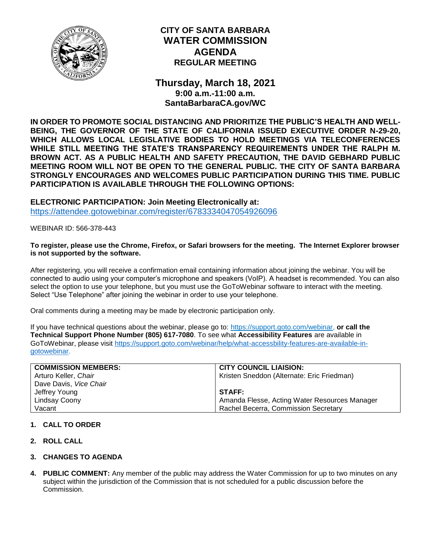

# **CITY OF SANTA BARBARA WATER COMMISSION AGENDA REGULAR MEETING**

**Thursday, March 18, 2021 9:00 a.m.-11:00 a.m. SantaBarbaraCA.gov/WC**

**IN ORDER TO PROMOTE SOCIAL DISTANCING AND PRIORITIZE THE PUBLIC'S HEALTH AND WELL-BEING, THE GOVERNOR OF THE STATE OF CALIFORNIA ISSUED EXECUTIVE ORDER N-29-20, WHICH ALLOWS LOCAL LEGISLATIVE BODIES TO HOLD MEETINGS VIA TELECONFERENCES WHILE STILL MEETING THE STATE'S TRANSPARENCY REQUIREMENTS UNDER THE RALPH M. BROWN ACT. AS A PUBLIC HEALTH AND SAFETY PRECAUTION, THE DAVID GEBHARD PUBLIC MEETING ROOM WILL NOT BE OPEN TO THE GENERAL PUBLIC. THE CITY OF SANTA BARBARA STRONGLY ENCOURAGES AND WELCOMES PUBLIC PARTICIPATION DURING THIS TIME. PUBLIC PARTICIPATION IS AVAILABLE THROUGH THE FOLLOWING OPTIONS:**

**ELECTRONIC PARTICIPATION: Join Meeting Electronically at:** <https://attendee.gotowebinar.com/register/6783334047054926096>

WEBINAR ID: 566-378-443

#### **To register, please use the Chrome, Firefox, or Safari browsers for the meeting. The Internet Explorer browser is not supported by the software.**

After registering, you will receive a confirmation email containing information about joining the webinar. You will be connected to audio using your computer's microphone and speakers (VoIP). A headset is recommended. You can also select the option to use your telephone, but you must use the GoToWebinar software to interact with the meeting. Select "Use Telephone" after joining the webinar in order to use your telephone.

Oral comments during a meeting may be made by electronic participation only.

If you have technical questions about the webinar, please go to: [https://support.goto.com/webinar,](https://support.goto.com/webinar) **or call the Technical Support Phone Number (805) 617-7080**. To see what **Accessibility Features** are available in GoToWebinar, please visit [https://support.goto.com/webinar/help/what-accessbility-features-are-available-in](https://support.goto.com/webinar/help/what-accessbility-features-are-available-in-gotowebinar)[gotowebinar.](https://support.goto.com/webinar/help/what-accessbility-features-are-available-in-gotowebinar)

| <b>COMMISSION MEMBERS:</b> | <b>CITY COUNCIL LIAISION:</b>                 |
|----------------------------|-----------------------------------------------|
| Arturo Keller, Chair       | Kristen Sneddon (Alternate: Eric Friedman)    |
| Dave Davis, Vice Chair     |                                               |
| Jeffrey Young              | <b>STAFF:</b>                                 |
| Lindsay Coony              | Amanda Flesse, Acting Water Resources Manager |
| Vacant                     | Rachel Becerra, Commission Secretary          |

# **1. CALL TO ORDER**

- **2. ROLL CALL**
- **3. CHANGES TO AGENDA**
- **4. PUBLIC COMMENT:** Any member of the public may address the Water Commission for up to two minutes on any subject within the jurisdiction of the Commission that is not scheduled for a public discussion before the Commission.